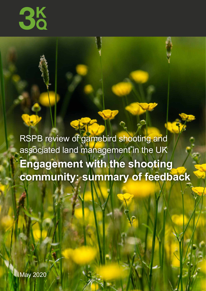

**18** 

RSPB review of gamebird shooting and associated land management in the UK **Engagement with the shooting community: summary of feedback**

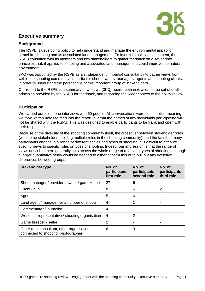# **Executive summary**



# **Background**

The RSPB is developing policy to help understand and manage the environmental impact of gamebird shooting and its associated land management. To inform its policy development, the RSPB consulted with its members and key stakeholders to gather feedback on a set of draft principles that, if applied to shooting and associated land management, could improve the natural environment.

3KQ was appointed by the RSPB as an independent, impartial consultancy to gather views from within the shooting community, in particular shoot owners, managers, agents and shooting clients, in order to understand the perspective of this important group of stakeholders.

Our report to the RSPB is a summary of what we (3KQ) heard, both in relation to the set of draft principles provided by the RSPB for feedback, and regarding the wider context of the policy review.

# **Participation**

We carried out telephone interviews with 60 people. All conversations were confidential, meaning we took written notes to feed into the report, but that the names of any individuals participating will not be shared with the RSPB. This was designed to enable participants to be frank and open with their responses.

Because of the diversity of the shooting community itself, the crossover between stakeholder roles (with some stakeholders holding multiple roles in the shooting community), and the fact that many participants engage in a range of different scales and types of shooting, it is difficult to attribute specific views to specific roles or types of shooting. Indeed, our impression is that the range of views described here generally cuts across the whole range of roles and types of shooting, although a larger quantitative study would be needed to either confirm this or to pull out any definitive differences between groups.

| <b>Stakeholder type</b>                                                            | No. of<br>participants:<br>first role | No. of<br>participants:<br>second role | No. of<br>participants:<br>third role |
|------------------------------------------------------------------------------------|---------------------------------------|----------------------------------------|---------------------------------------|
| Shoot manager / provider / owner / gamekeeper                                      | 27                                    | 6                                      |                                       |
| Client / gun                                                                       | 8                                     | 6                                      | 2                                     |
| Agent                                                                              | 5                                     | 6                                      |                                       |
| Land agent / manager for a number of shoots                                        | 4                                     |                                        |                                       |
| Commentator / journalist                                                           | 4                                     |                                        |                                       |
| Works for representative / shooting organisation                                   | 4                                     | 2                                      |                                       |
| Game breeder / seller                                                              | 2                                     |                                        |                                       |
| Other (e.g. consultant, other organisation<br>connected to shooting, photographer) | 6                                     | 3                                      |                                       |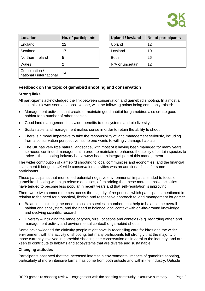

| <b>Location</b>                           | No. of participants | <b>Upland / lowland</b> | No. of participants |
|-------------------------------------------|---------------------|-------------------------|---------------------|
| England                                   | 22                  | Upland                  | 12                  |
| Scotland                                  | 17                  | Lowland                 | 10                  |
| Northern Ireland                          | 5                   | <b>Both</b>             | 26                  |
| Wales                                     | 2                   | N/A or uncertain        | 12                  |
| Combination /<br>national / international | 14                  |                         |                     |

| <b>Upland / lowland</b> | No. of participants |
|-------------------------|---------------------|
| Upland                  | 12                  |
| Lowland                 | 10                  |
| Both                    | 26                  |
| N/A or uncertain        | 12                  |

## **Feedback on the topic of gamebird shooting and conservation**

### **Strong links**

All participants acknowledged the link between conservation and gamebird shooting. In almost all cases, this link was seen as a positive one, with the following points being commonly raised:

- Management activities that create or maintain good habitat for gamebirds also create good habitat for a number of other species.
- Good land management has wider benefits to ecosystems and biodiversity.
- Sustainable land management makes sense in order to retain the ability to shoot.
- There is a moral imperative to take the responsibility of land management seriously, including from a conservation perspective, as no one wants to willingly damage habitats.
- The UK has very little natural landscape, with most of it having been managed for many years, so needs continued management in order to maintain or enhance the ability of certain species to thrive – the shooting industry has always been an integral part of this management.

The wider contribution of gamebird shooting to local communities and economies, and the financial investment it brings to UK-wide conservation activities was an additional focus for some participants.

Those participants that mentioned potential negative environmental impacts tended to focus on gamebird shooting with high release densities, often adding that these more intensive activities have tended to become less popular in recent years and that self-regulation is improving.

There were two common themes across the majority of responses, which participants mentioned in relation to the need for a practical, flexible and responsive approach to land management for game:

- Balance including the need to sustain species in numbers that help to balance the overall habitat and ecosystem, and the need to balance local context with on-the-ground knowledge and evolving scientific research.
- Diversity including the range of types, size, locations and contexts (e.g. regarding other land management activity and environmental context) of gamebird shoots.

Some acknowledged the difficulty people might have in reconciling care for birds and the wider environment with the activity of shooting, but many participants felt strongly that the majority of those currently involved in gamebird shooting see conservation as integral to the industry, and are keen to contribute to habitats and ecosystems that are diverse and sustainable.

### **Changing attitudes**

Participants observed that the increased interest in environmental impacts of gamebird shooting, particularly of more intensive forms, has come from both outside and within the industry. Outside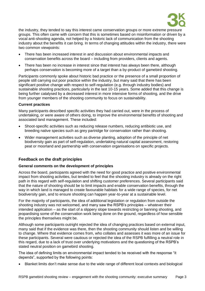

the industry, they tended to say this interest came conservation groups or more extreme pressure groups. This often came with concern that this is sometimes based on misinformation or driven by a vocal anti-shooting agenda, not helped by a historic lack of communication from the shooting industry about the benefits it can bring. In terms of changing attitudes within the industry, there were two common viewpoints:

- There has been increased interest in and discussion about environmental impacts and conservation benefits across the board – including from providers, clients and agents.
- There has been no increase in interest since that interest has always been there, although perhaps conservation is becoming more of a target than a by-product of gamebird shooting.

Participants commonly spoke about historic bad practice or the presence of a small proportion of people still carrying out poor practice within the industry, but many said that there has been significant positive change with respect to self-regulation (e.g. through industry bodies) and sustainable shooting practices, particularly in the last 10-15 years. Some added that this change is being further catalysed by a decreased interest in more intensive forms of shooting, and the drive from younger members of the shooting community to focus on sustainability.

### **Current practices**

Many participants described specific activities they had carried out, were in the process of undertaking, or were aware of others doing, to improve the environmental benefits of shooting and associated land management. These included:

- Shoot-specific activities such as reducing release numbers, reducing antibiotic use, and breeding native species such as grey partridge for conservation rather than shooting.
- Wider management activities such as diverse planting, adoption of the principle of net biodiversity gain as part of self-regulation, undertaking natural capital assessment, restoring peat or moorland and partnership with conservation organisations on specific projects.

### **Feedback on the draft principles**

### **General comments on the development of principles**

Across the board, participants agreed with the need for good practice and positive environmental impact from shooting activities, but tended to feel that the shooting industry is already on the right path in this regard with self-regulation and shifting customer preferences. Several participants said that the nature of shooting should be to limit impacts and enable conservation benefits, through the way in which land is managed to create favourable habitats for a wide range of species, for net biodiversity gain, and to ensure shooting can happen year-to-year at a sustainable level.

For the majority of participants, the idea of additional legislation or regulation from outside the shooting industry was not welcomed, and many saw the RSPB's principles – whatever their intended application – as the start of a slippery slope towards restricting or banning shooting, and jeopardising some of the conservation work being done on the ground, regardless of how sensible the principles themselves might be.

Although some participants outright rejected the idea of changing practices based on external input, many said that if the evidence was there, then the shooting community should listen and be willing to change. Where that evidence comes from, who collates and assesses it was more of an issue for these participants. Several were cautious or rejected the idea of the RSPB fulfilling a neutral role in this regard, due to a lack of trust over underlying motivations and the questioning of the RSPB's stated neutral position on gamebird shooting.

The idea of defining limits on environmental impact tended to be received with the response "it depends", supported by the following points:

• Blanket limits don't make sense due to the wide range of different local contexts and biological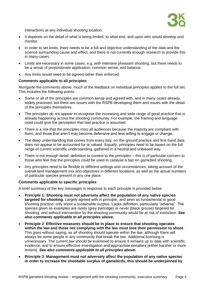

interactions at any individual shooting location.

- It depends on the detail of what is being limited, to what end, and upon who would develop and monitor.
- In order to set limits, there needs to be a full and objective understanding of the data and the science surrounding cause and effect, and there is not currently enough research to provide this in many cases.
- Limits are necessary in some cases, e.g. with intensive pheasant shooting, but there needs to be a sense of proportionate application, common sense, and balance.
- Any limits would need to be agreed rather than enforced.

### **Comments applicable to all principles**

Alongside the comments above, much of the feedback on individual principles applies to the full set. This includes the following points:

- Some or all of the principles are common sense and agreed with, and in many cases already widely practised, but there are issues with the RSPB developing them and issues with the detail of the principles themselves.
- The principles do not appear to recognise the increasing and wide range of good practice that is already happening across the shooting community. For example, the framing and language used could give the perception that bad practice is assumed.
- There is a risk that the principles miss all audiences because the majority are compliant with them, and those that aren't may become defensive and less willing to engage or change.
- The deep understanding that comes from every day, on-the-ground practice and first-hand data does not appear to be accounted for or valued. Equally, principles need to be based on the full range of current scientific understanding, gathered in a neutral and unbiased way.
- There is not enough detail, definition or context to the principles this is of particular concern to those who feel that the principles could be used to catalyse a ban on gamebird shooting.
- Any principles need to be flexible to different settings and circumstances, taking account of the overall land management mix and objectives in different locations, as well as the actual numbers of particular species present in any one place.

#### **Comments applicable to specific principles**

A brief summary of the key messages in response to each principle is provided below.

- **Principle 1: Shooting must not adversely affect the population of any native species targeted for shooting.** Largely agreed with in principle, and seen as fundamental to good shooting practice: only shoot a sustainable surplus. Lacks definition, particularly "adverse". The species given as examples are rarely (grey partridge) or never (black grouse) targeted for shooting, and without intervention by the shooting community would be at risk of extinction. *See also comments applicable to all principles above.*
- **Principle 2**: **Effective measures should be in place to ensure that shooting operates within the law and those not complying with the law must lose their permission to shoot**. This goes without saying, as all shooting should operate within the law, although there will always be some people in any community that break the law. Additional licensing is unnecessary. The current law should be examined to ensure it remains up to date with scientific evidence, and to ensure effective investigation and appropriate penalties (either harsher or more lenient). *See also comments applicable to all principles above.*
- **Principle 3**: **Management must not adversely affect the population of any native species in order to increase the shootable surplus of gamebirds, this should be underpinned by**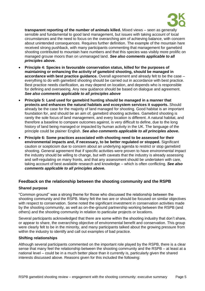

**transparent reporting of the number of animals killed.** Mixed views – seen as generally sensible and fundamental to good land management, but issues with taking account of local circumstances and the need to focus on the overarching aim of achieving balance, with concern about unintended consequences. Requires further definition. The example of the mountain hare received strong pushback, with many participants commenting that management for gamebird shooting contributed to mountain hare numbers and that this species was visibly more prolific on managed grouse moors than on unmanaged land. *See also comments applicable to all principles above.*

- **Principle 4: Species in favourable conservation status, killed for the purposes of maintaining or enhancing the activity of gamebird shooting, should be managed in accordance with best practice guidance.** Overall agreement and already felt to be the case – everything to do with gamebird shooting should be carried out in accordance with best practice. Best practice needs clarification, as may depend on location, and depends who is responsible for defining and overseeing. Any new guidance should be based on dialogue and agreement. *See also comments applicable to all principles above*
- **Principle 5: Land used for gamebird hunting should be managed in a manner that protects and enhances the natural habitats and ecosystem services it supports.** Should already be the case for the majority of land managed for shooting. Good habitat is an important foundation for, and should be an aim of, gamebird shooting activities. Gamebird shooting is rarely the sole focus of land management, and every location is different. A natural habitat, and therefore a baseline to compare outcomes against, is very difficult to define, due to the long history of land being managed or impacted by human activity in the UK. The language of the principle could be plainer English. *See also comments applicable to all principles above.*
- **Principle 6: Some practices associated with shooting need to be assessed for their environmental impacts and, if necessary, to be better regulated or stopped.** Significant caution or scepticism due to concern about an underlying agenda to restrict or stop gamebird shooting. General agreement that if specific activities were proven to have environmental impact the industry should be willing to change, but with caveats that the industry is already assessing and self-regulating on many fronts, and that any assessment should be undertaken with care, taking account of best available research and knowledge – which is often conflicting. *See also comments applicable to all principles above.*

### **Feedback on the relationship between the shooting community and the RSPB**

### **Shared purpose**

"Common ground" was a strong theme for those who discussed the relationship between the shooting community and the RSPB. Many felt the two are or should be focused on similar objectives with respect to conservation. Some noted the significant investment in conservation activities made by the shooting community, as well as on-the-ground partnership working between the RSPB (and others) and the shooting community in relation to particular projects or locations.

Several participants acknowledged that there are some within the shooting industry that don't share, or appear to share, the overarching objective of environmental benefit and conservation. This group were clearly felt to be in the minority, and many participants talked about the growing pressure from within the industry to identify and call out examples of bad practice.

### **Shifting relationships**

Although several participants commented on the important role played by the RSPB, there is a clear sense that many feel the relationship between the shooting community and the RSPB – at least at a national level – could be in a much better place than it currently is, particularly given the shared interests discussed above. Reasons given for this included the following: